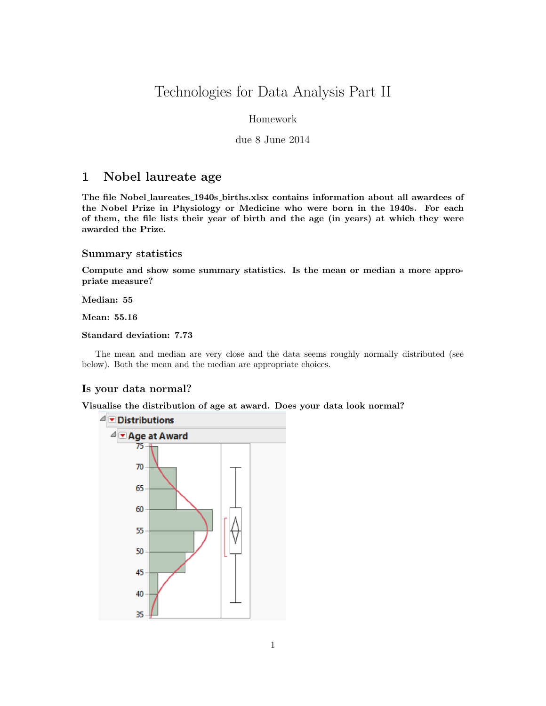# Technologies for Data Analysis Part II

# Homework

# due 8 June 2014

# 1 Nobel laureate age

The file Nobel laureates 1940s births.xlsx contains information about all awardees of the Nobel Prize in Physiology or Medicine who were born in the 1940s. For each of them, the file lists their year of birth and the age (in years) at which they were awarded the Prize.

#### Summary statistics

Compute and show some summary statistics. Is the mean or median a more appropriate measure?

Median: 55

Mean: 55.16

### Standard deviation: 7.73

The mean and median are very close and the data seems roughly normally distributed (see below). Both the mean and the median are appropriate choices.

# Is your data normal?

Visualise the distribution of age at award. Does your data look normal?